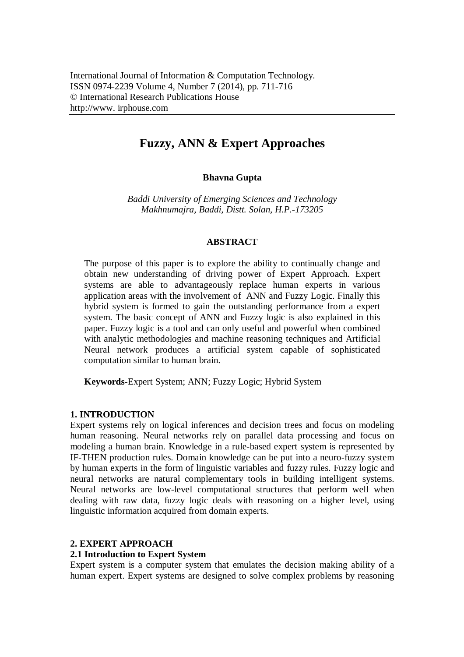# **Fuzzy, ANN & Expert Approaches**

#### **Bhavna Gupta**

*Baddi University of Emerging Sciences and Technology Makhnumajra, Baddi, Distt. Solan, H.P.-173205*

#### **ABSTRACT**

The purpose of this paper is to explore the ability to continually change and obtain new understanding of driving power of Expert Approach. Expert systems are able to advantageously replace human experts in various application areas with the involvement of ANN and Fuzzy Logic. Finally this hybrid system is formed to gain the outstanding performance from a expert system. The basic concept of ANN and Fuzzy logic is also explained in this paper. Fuzzy logic is a tool and can only useful and powerful when combined with analytic methodologies and machine reasoning techniques and Artificial Neural network produces a artificial system capable of sophisticated computation similar to human brain.

**Keywords-**Expert System; ANN; Fuzzy Logic; Hybrid System

#### **1. INTRODUCTION**

Expert systems rely on logical inferences and decision trees and focus on modeling human reasoning. Neural networks rely on parallel data processing and focus on modeling a human brain. Knowledge in a rule-based expert system is represented by IF-THEN production rules. Domain knowledge can be put into a neuro-fuzzy system by human experts in the form of linguistic variables and fuzzy rules. Fuzzy logic and neural networks are natural complementary tools in building intelligent systems. Neural networks are low-level computational structures that perform well when dealing with raw data, fuzzy logic deals with reasoning on a higher level, using linguistic information acquired from domain experts.

### **2. EXPERT APPROACH**

#### **2.1 Introduction to Expert System**

Expert system is a computer system that emulates the decision making ability of a human expert. Expert systems are designed to solve complex problems by reasoning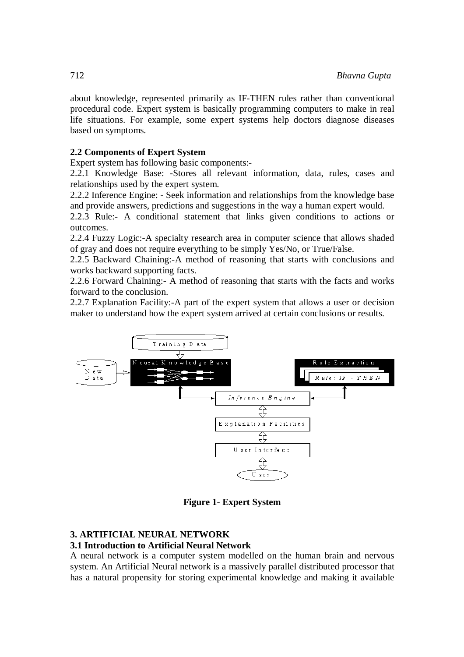about knowledge, represented primarily as IF-THEN rules rather than conventional procedural code. Expert system is basically programming computers to make in real life situations. For example, some expert systems help doctors diagnose diseases based on symptoms.

## **2.2 Components of Expert System**

Expert system has following basic components:-

2.2.1 Knowledge Base: -Stores all relevant information, data, rules, cases and relationships used by the expert system.

2.2.2 Inference Engine: - Seek information and relationships from the knowledge base and provide answers, predictions and suggestions in the way a human expert would.

2.2.3 Rule:- A conditional statement that links given conditions to actions or outcomes.

2.2.4 Fuzzy Logic:-A specialty research area in computer science that allows shaded of gray and does not require everything to be simply Yes/No, or True/False.

2.2.5 Backward Chaining:-A method of reasoning that starts with conclusions and works backward supporting facts.

2.2.6 Forward Chaining:- A method of reasoning that starts with the facts and works forward to the conclusion.

2.2.7 Explanation Facility:-A part of the expert system that allows a user or decision maker to understand how the expert system arrived at certain conclusions or results.



**Figure 1- Expert System**

## **3. ARTIFICIAL NEURAL NETWORK**

### **3.1 Introduction to Artificial Neural Network**

A neural network is a computer system modelled on the human brain and nervous system. An Artificial Neural network is a massively parallel distributed processor that has a natural propensity for storing experimental knowledge and making it available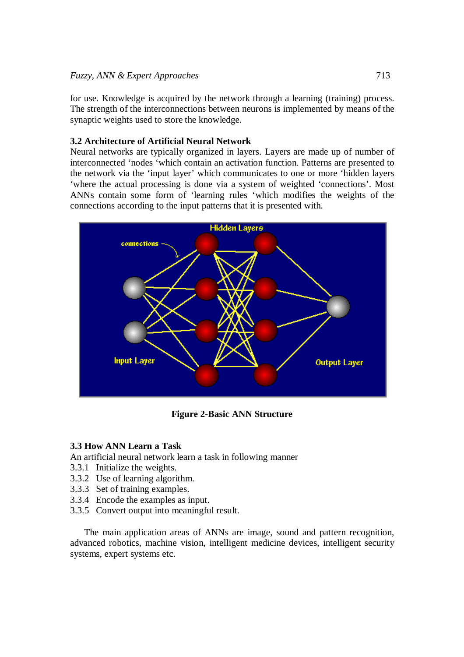for use. Knowledge is acquired by the network through a learning (training) process. The strength of the interconnections between neurons is implemented by means of the synaptic weights used to store the knowledge.

#### **3.2 Architecture of Artificial Neural Network**

Neural networks are typically organized in layers. Layers are made up of number of interconnected 'nodes 'which contain an activation function. Patterns are presented to the network via the 'input layer' which communicates to one or more 'hidden layers 'where the actual processing is done via a system of weighted 'connections'. Most ANNs contain some form of 'learning rules 'which modifies the weights of the connections according to the input patterns that it is presented with.



**Figure 2-Basic ANN Structure**

#### **3.3 How ANN Learn a Task**

An artificial neural network learn a task in following manner

- 3.3.1 Initialize the weights.
- 3.3.2 Use of learning algorithm.
- 3.3.3 Set of training examples.
- 3.3.4 Encode the examples as input.
- 3.3.5 Convert output into meaningful result.

The main application areas of ANNs are image, sound and pattern recognition, advanced robotics, machine vision, intelligent medicine devices, intelligent security systems, expert systems etc.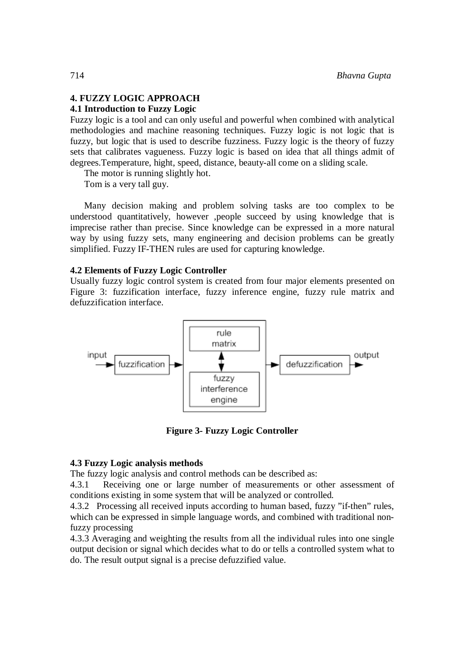## **4. FUZZY LOGIC APPROACH**

#### **4.1 Introduction to Fuzzy Logic**

Fuzzy logic is a tool and can only useful and powerful when combined with analytical methodologies and machine reasoning techniques. Fuzzy logic is not logic that is fuzzy, but logic that is used to describe fuzziness. Fuzzy logic is the theory of fuzzy sets that calibrates vagueness. Fuzzy logic is based on idea that all things admit of degrees.Temperature, hight, speed, distance, beauty-all come on a sliding scale.

The motor is running slightly hot.

Tom is a very tall guy.

Many decision making and problem solving tasks are too complex to be understood quantitatively, however ,people succeed by using knowledge that is imprecise rather than precise. Since knowledge can be expressed in a more natural way by using fuzzy sets, many engineering and decision problems can be greatly simplified. Fuzzy IF-THEN rules are used for capturing knowledge.

#### **4.2 Elements of Fuzzy Logic Controller**

Usually fuzzy logic control system is created from four major elements presented on Figure 3: fuzzification interface, fuzzy inference engine, fuzzy rule matrix and defuzzification interface.



**Figure 3- Fuzzy Logic Controller**

#### **4.3 Fuzzy Logic analysis methods**

The fuzzy logic analysis and control methods can be described as:

4.3.1 Receiving one or large number of measurements or other assessment of conditions existing in some system that will be analyzed or controlled.

4.3.2 Processing all received inputs according to human based, fuzzy "if-then" rules, which can be expressed in simple language words, and combined with traditional nonfuzzy processing

4.3.3 Averaging and weighting the results from all the individual rules into one single output decision or signal which decides what to do or tells a controlled system what to do. The result output signal is a precise defuzzified value.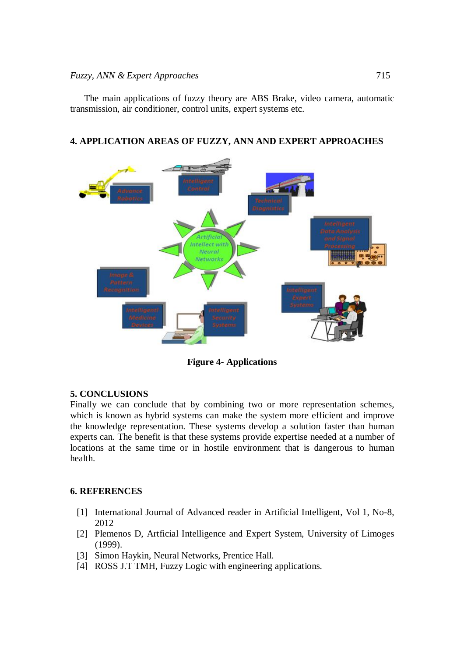The main applications of fuzzy theory are ABS Brake, video camera, automatic transmission, air conditioner, control units, expert systems etc.

#### **4. APPLICATION AREAS OF FUZZY, ANN AND EXPERT APPROACHES**



**Figure 4- Applications**

### **5. CONCLUSIONS**

Finally we can conclude that by combining two or more representation schemes, which is known as hybrid systems can make the system more efficient and improve the knowledge representation. These systems develop a solution faster than human experts can. The benefit is that these systems provide expertise needed at a number of locations at the same time or in hostile environment that is dangerous to human health.

#### **6. REFERENCES**

- [1] International Journal of Advanced reader in Artificial Intelligent, Vol 1, No-8, 2012
- [2] Plemenos D, Artficial Intelligence and Expert System, University of Limoges (1999).
- [3] Simon Haykin, Neural Networks, Prentice Hall.
- [4] ROSS J.T TMH, Fuzzy Logic with engineering applications.